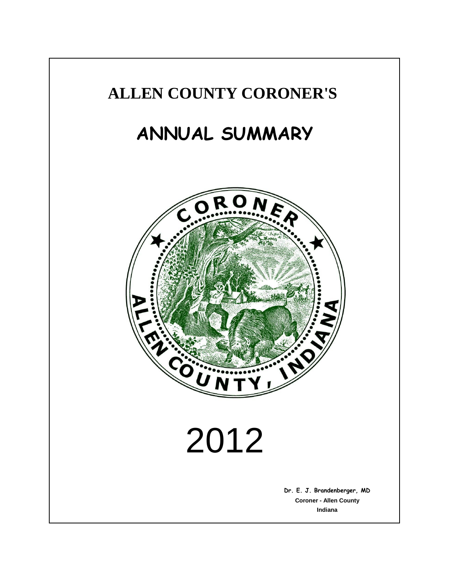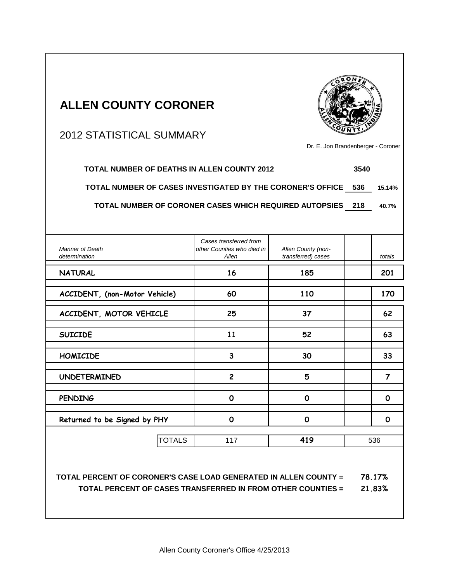

**ALLEN COUNTY CORONER** 

2012 STATISTICAL SUMMARY

Dr. E. Jon Brandenberger - Coroner

**TOTAL NUMBER OF DEATHS IN ALLEN COUNTY 2012 3540**

**536 15.14% TOTAL NUMBER OF CASES INVESTIGATED BY THE CORONER'S OFFICE**

**218 40.7% TOTAL NUMBER OF CORONER CASES WHICH REQUIRED AUTOPSIES**

| Manner of Death<br>determination                                 | Cases transferred from<br>other Counties who died in<br>Allen | Allen County (non-<br>transferred) cases | totals           |
|------------------------------------------------------------------|---------------------------------------------------------------|------------------------------------------|------------------|
| <b>NATURAL</b>                                                   | 16                                                            | 185                                      | 201              |
| ACCIDENT, (non-Motor Vehicle)                                    | 60                                                            | 110                                      | 170              |
| ACCIDENT, MOTOR VEHICLE                                          | 25                                                            | 37                                       | 62               |
| <b>SUICIDE</b>                                                   | 11                                                            | 52                                       | 63               |
| <b>HOMICIDE</b>                                                  | 3                                                             | 30                                       | 33               |
| <b>UNDETERMINED</b>                                              | $\overline{c}$                                                | 5                                        | $\overline{7}$   |
| <b>PENDING</b>                                                   | O                                                             | $\mathbf 0$                              | 0                |
| Returned to be Signed by PHY                                     | O                                                             | $\mathbf 0$                              | 0                |
|                                                                  | <b>TOTALS</b><br>117                                          | 419                                      | 536              |
| TOTAL PERCENT OF CORONER'S CASE LOAD GENERATED IN ALLEN COUNTY = | TOTAL PERCENT OF CASES TRANSFERRED IN FROM OTHER COUNTIES =   |                                          | 78.17%<br>21.83% |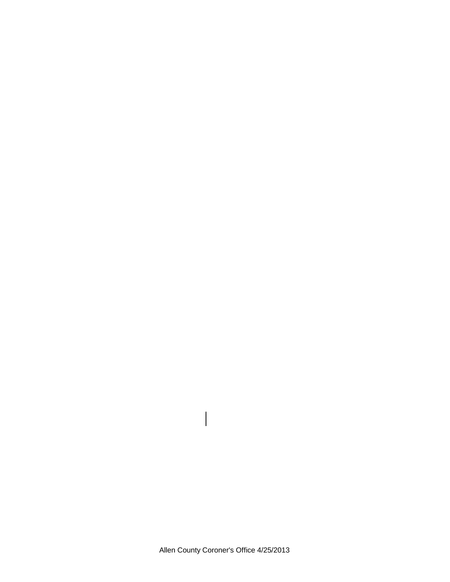$\begin{array}{c} \hline \end{array}$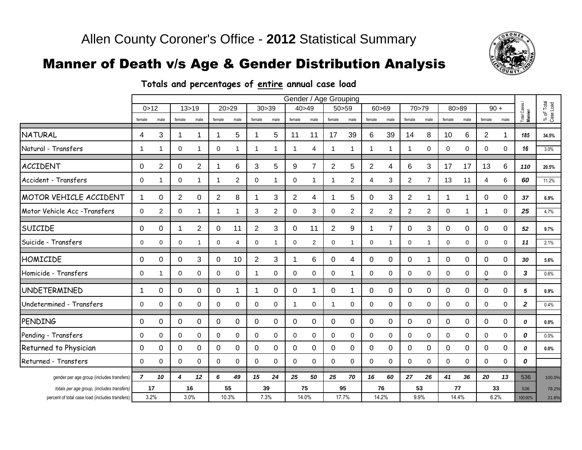## Manner of Death v/s Age & Gender Distribution Analysis



|  | Totals and percentages of <u>entire</u> annual case load |  |  |  |  |  |
|--|----------------------------------------------------------|--|--|--|--|--|
|--|----------------------------------------------------------|--|--|--|--|--|

|                                                  |                |                |                |                |                  |                |                |                |                |                | Gender / Age Grouping |                |                |                |                |                |             |             |                |             |                                |                         |
|--------------------------------------------------|----------------|----------------|----------------|----------------|------------------|----------------|----------------|----------------|----------------|----------------|-----------------------|----------------|----------------|----------------|----------------|----------------|-------------|-------------|----------------|-------------|--------------------------------|-------------------------|
|                                                  | 0 > 12         |                | 13 > 19        |                |                  | 20 > 29        | 30 > 39        |                |                | 40 > 49        | 50 > 59               |                |                | 60 > 69        |                | 70 > 79        |             | 80>89       |                | $90 +$      | Total Cases /<br><b>Manner</b> | % oF Total<br>Case Load |
|                                                  | female         | male           | female         | male           | female           | male           | female         | male           | female         | male           | female                | male           | female         | male           | female         | male           | female      | male        | female         | male        |                                |                         |
| NATURAL                                          | 4              | 3              |                | 1              |                  | 5              | 1              | 5              | 11             | 11             | 17                    | 39             | 6              | 39             | 14             | 8              | 10          | 6           | $\overline{2}$ | 1           | 185                            | 34.5%                   |
| Natural - Transfers                              | -1             | 1              | 0              |                | 0                | $\mathbf 1$    | -1             | $\mathbf 1$    | 1              | $\overline{4}$ | 1                     | $\mathbf{1}$   | 1              | $\mathbf 1$    |                | 0              | 0           | $\mathbf 0$ | $\mathbf 0$    | $\mathbf 0$ | 16                             | 3.0%                    |
| <b>ACCIDENT</b>                                  | 0              | $\overline{c}$ | 0              | $\overline{2}$ |                  | 6              | 3              | 5              | 9              | $\overline{7}$ | $\overline{2}$        | 5              | $\overline{2}$ | 4              | 6              | 3              | 17          | 17          | 13             | 6           | 110                            | 20.5%                   |
| Accident - Transfers                             | $\mathbf 0$    | 1              | $\mathbf 0$    | 1              | 1                | $\overline{2}$ | $\Omega$       | $\mathbf{1}$   | 0              | $\overline{1}$ | 1                     | $\overline{2}$ | 4              | 3              | $\overline{2}$ | $\overline{7}$ | 13          | 11          | $\overline{4}$ | 6           | 60                             | 11.2%                   |
| MOTOR VEHICLE ACCIDENT                           | 1              | 0              | $\overline{2}$ | 0              | $\mathbf{2}$     | 8              | 1              | 3              | $\overline{c}$ | 4              | 1                     | 5              | $\Omega$       | 3              | $\overline{2}$ | 1              | 1           | 1           | 0              | 0           | 37                             | 6.9%                    |
| Motor Vehicle Acc -Transfers                     | 0              | 2              | 0              | 1              | -1               | 1              | 3              | $\overline{c}$ | 0              | 3              | 0                     | $\overline{2}$ | $\overline{c}$ | $\overline{c}$ | $\overline{2}$ | 2              | 0           | 1           | -1             | 0           | 25                             | 4.7%                    |
| SUICIDE                                          | $\Omega$       | 0              |                | $\overline{2}$ | 0                | 11             | $\overline{2}$ | 3              | $\Omega$       | 11             | $\overline{2}$        | 9              | 1              | $\overline{7}$ | $\Omega$       | 3              | 0           | 0           | $\Omega$       | $\Omega$    | 52                             | 9.7%                    |
| Suicide - Transfers                              | 0              | $\mathbf 0$    | 0              | $\mathbf 1$    | 0                | $\overline{4}$ | $\mathbf 0$    | $\mathbf{1}$   | $\mathbf 0$    | $\overline{2}$ | 0                     | $\mathbf{1}$   | $\mathbf 0$    | $\mathbf{1}$   | $\mathbf 0$    | $\mathbf{1}$   | $\mathbf 0$ | 0           | $\mathbf 0$    | $\mathbf 0$ | 11                             | 2.1%                    |
| <b>HOMICIDE</b>                                  | 0              | 0              | $\pmb{0}$      | 3              | 0                | 10             | $\overline{2}$ | 3              | 1              | 6              | 0                     | 4              | 0              | $\mathbf 0$    | 0              | 1              | $\pmb{0}$   | $\mathbf 0$ | 0              | $\mathbf 0$ | 30                             | 5.6%                    |
| Homicide - Transfers                             | 0              | 1              | 0              | 0              | 0                | 0              |                | 0              | 0              | 0              | 0                     | $\mathbf{1}$   | 0              | $\mathbf 0$    | 0              | 0              | 0           | 0           | 0              | $\mathbf 0$ | 3                              | 0.6%                    |
| <b>UNDETERMINED</b>                              |                | 0              | 0              | 0              | 0                | 1              | -1             | 0              | 0              |                | 0                     | 1              | 0              | 0              | 0              | 0              | 0           | 0           | 0              | $\Omega$    | 5                              | 0.9%                    |
| Undetermined - Transfers                         | 0              | 0              | $\mathbf 0$    | $\mathbf 0$    | 0                | $\mathbf 0$    | $\Omega$       | $\mathbf 0$    | 1              | $\mathbf 0$    | 1                     | 0              | $\Omega$       | $\Omega$       | 0              | 0              | $\mathbf 0$ | $\mathbf 0$ | $\Omega$       | $\Omega$    | $\overline{2}$                 | 0.4%                    |
| PENDING                                          | 0              | 0              | $\mathbf 0$    | 0              | $\boldsymbol{0}$ | 0              | 0              | 0              | 0              | 0              | 0                     | $\mathbf 0$    | 0              | $\mathbf 0$    | 0              | 0              | 0           | 0           | 0              | 0           | 0                              | $0.0\%$                 |
| Pending - Transfers                              | 0              | 0              | 0              | 0              | 0                | 0              | $\Omega$       | 0              | 0              | 0              | 0                     | 0              | 0              | $\mathbf 0$    | 0              | 0              | 0           | 0           | 0              | $\mathbf 0$ | 0                              | 0.0%                    |
| Returned to Physician                            | 0              | 0              | 0              | 0              | $\Omega$         | 0              | $\Omega$       | $\Omega$       | 0              | 0              | 0                     | 0              | 0              | $\Omega$       | 0              | 0              | 0           | 0           | $\Omega$       | $\Omega$    | 0                              | $0.0\%$                 |
| Returned - Transfers                             | $\mathbf 0$    | 0              | $\mathbf 0$    | $\Omega$       | $\Omega$         | $\mathbf 0$    | $\Omega$       | $\mathbf 0$    | 0              | $\Omega$       | $\Omega$              | $\mathbf 0$    | $\Omega$       | $\Omega$       | $\mathbf 0$    | 0              | $\mathbf 0$ | $\mathbf 0$ | $\mathbf 0$    | $\Omega$    | 0                              |                         |
| gender per age group (includes transfers):       | $\overline{7}$ | 10             | 4              | 12             | 6                | 49             | 15             | 24             | 25             | 50             | 25                    | 70             | 16             | 60             | 27             | 26             | 41          | 36          | 20             | 13          | 536                            | 100.0%                  |
| totals per age group, (includes transfers)       |                | 17             |                | 16             |                  | 55             |                | 39             |                | 75             | 95                    |                |                | 76             |                | 53             |             | 77          |                | 33          | 536                            | 78.2%                   |
| percent of total case load (includes transfers): |                | 3.2%           | 3.0%           |                |                  | 10.3%          |                | 7.3%           |                | 14.0%          | 17.7%                 |                |                | 14.2%          | 9.9%           |                |             | 14.4%       | 6.2%           |             | 100.00%                        | 21.8%                   |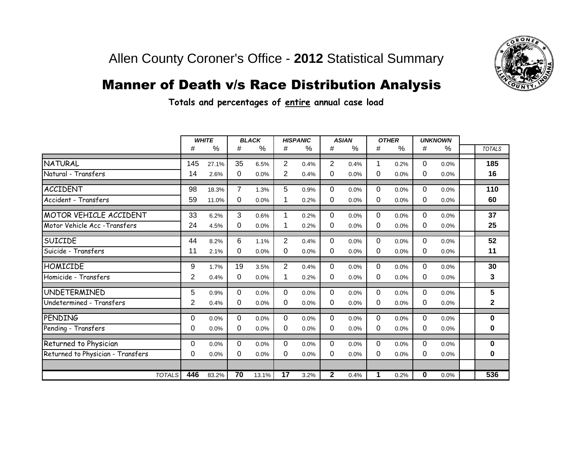



## Manner of Death v/s Race Distribution Analysis

**Totals and percentages of entire annual case load**

|                                   |     | <b>WHITE</b>  |                | <b>BLACK</b>  |                | <b>HISPANIC</b> |                | <b>ASIAN</b> |          | <b>OTHER</b>  |          | <b>UNKNOWN</b> |               |
|-----------------------------------|-----|---------------|----------------|---------------|----------------|-----------------|----------------|--------------|----------|---------------|----------|----------------|---------------|
|                                   | #   | $\frac{0}{0}$ | #              | $\frac{0}{0}$ | #              | %               | #              | %            | #        | $\frac{0}{0}$ | #        | $\%$           | <b>TOTALS</b> |
| <b>NATURAL</b>                    | 145 | 27.1%         | 35             | 6.5%          | $\overline{2}$ | 0.4%            | $\overline{2}$ | 0.4%         | 1        | 0.2%          | 0        | 0.0%           | 185           |
| Natural - Transfers               | 14  | 2.6%          | 0              | 0.0%          | 2              | 0.4%            | 0              | 0.0%         | 0        | 0.0%          | 0        | 0.0%           | 16            |
| <b>ACCIDENT</b>                   | 98  | 18.3%         | $\overline{7}$ | 1.3%          | 5              | 0.9%            | 0              | 0.0%         | $\Omega$ | 0.0%          | 0        | 0.0%           | 110           |
| Accident - Transfers              | 59  | 11.0%         | 0              | 0.0%          |                | 0.2%            | 0              | 0.0%         | 0        | 0.0%          | 0        | 0.0%           | 60            |
| MOTOR VEHICLE ACCIDENT            | 33  | 6.2%          | 3              | 0.6%          |                | 0.2%            | $\mathbf{0}$   | 0.0%         | 0        | 0.0%          | 0        | 0.0%           | 37            |
| Motor Vehicle Acc - Transfers     | 24  | 4.5%          | 0              | 0.0%          |                | 0.2%            | 0              | 0.0%         | 0        | 0.0%          | 0        | 0.0%           | 25            |
| SUICIDE                           | 44  | 8.2%          | 6              | 1.1%          | $\overline{2}$ | 0.4%            | 0              | 0.0%         | 0        | 0.0%          | 0        | 0.0%           | 52            |
| Suicide - Transfers               | 11  | 2.1%          | 0              | 0.0%          | 0              | 0.0%            | 0              | 0.0%         | 0        | 0.0%          | 0        | 0.0%           | 11            |
| <b>HOMICIDE</b>                   | 9   | 1.7%          | 19             | 3.5%          | 2              | 0.4%            | $\mathbf 0$    | 0.0%         | 0        | 0.0%          | 0        | 0.0%           | 30            |
| Homicide - Transfers              | 2   | 0.4%          | 0              | 0.0%          |                | 0.2%            | 0              | 0.0%         | 0        | 0.0%          | 0        | 0.0%           | 3             |
| <b>UNDETERMINED</b>               | 5   | 0.9%          | 0              | 0.0%          | $\Omega$       | 0.0%            | 0              | 0.0%         | 0        | 0.0%          | 0        | 0.0%           | 5             |
| Undetermined - Transfers          | 2   | 0.4%          | 0              | 0.0%          | 0              | 0.0%            | 0              | 0.0%         | 0        | 0.0%          | 0        | 0.0%           | $\mathbf{2}$  |
| PENDING                           | 0   | 0.0%          | $\Omega$       | 0.0%          | 0              | 0.0%            | 0              | 0.0%         | 0        | 0.0%          | 0        | 0.0%           | 0             |
| Pending - Transfers               | 0   | 0.0%          | 0              | 0.0%          | 0              | 0.0%            | 0              | 0.0%         | 0        | 0.0%          | 0        | 0.0%           | 0             |
| Returned to Physician             | 0   | 0.0%          | 0              | 0.0%          | 0              | 0.0%            | 0              | 0.0%         | 0        | 0.0%          | 0        | 0.0%           | 0             |
| Returned to Physician - Transfers | 0   | 0.0%          | 0              | 0.0%          | 0              | 0.0%            | 0              | 0.0%         | 0        | 0.0%          | 0        | 0.0%           | 0             |
|                                   |     |               |                |               |                |                 |                |              |          |               |          |                |               |
| <b>TOTALS</b>                     | 446 | 83.2%         | 70             | 13.1%         | 17             | 3.2%            | $\mathbf{2}$   | 0.4%         | 1        | 0.2%          | $\bf{0}$ | 0.0%           | 536           |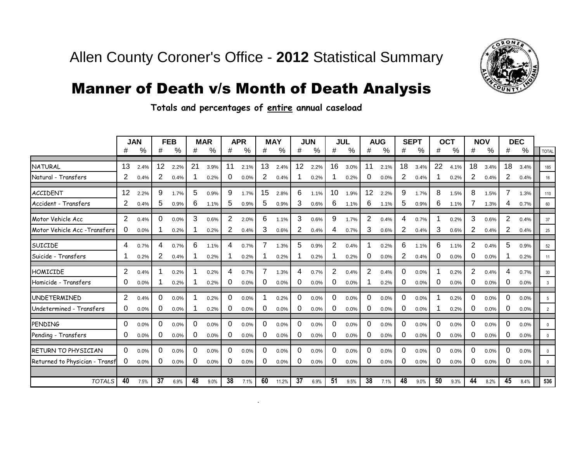

## Manner of Death v/s Month of Death Analysis

**Totals and percentages of entire annual caseload**

.

|                                |                | <b>JAN</b> |          | <b>FEB</b> |          | <b>MAR</b> |          | <b>APR</b> |    | <b>MAY</b> |          | <b>JUN</b> |    | <b>JUL</b> |                | <b>AUG</b> |          | <b>SEPT</b> |    | <b>OCT</b> |    | <b>NOV</b> |                | <b>DEC</b> |                |
|--------------------------------|----------------|------------|----------|------------|----------|------------|----------|------------|----|------------|----------|------------|----|------------|----------------|------------|----------|-------------|----|------------|----|------------|----------------|------------|----------------|
|                                | #              | $\%$       | #        | %          | #        | %          | #        | $\%$       | #  | $\%$       | #        | %          | #  | %          | #              | %          | #        | %           | #  | $\%$       | #  | %          | #              | %          | TOTAL          |
| <b>NATURAL</b>                 | 13             | 2.4%       | 12       | 2.2%       | 21       | 3.9%       | 11       | 2.1%       | 13 | 2.4%       | 12       | 2.2%       | 16 | 3.0%       | 11             | 2.1%       | 18       | 3.4%        | 22 | 4.1%       | 18 | 3.4%       | 18             | 3.4%       | 185            |
| Natural - Transfers            | 2              | 0.4%       | 2        | 0.4%       |          | 0.2%       | 0        | 0.0%       | 2  | 0.4%       |          | 0.2%       |    | 0.2%       | 0              | 0.0%       | 2        | 0.4%        |    | 0.2%       | 2  | 0.4%       | 2              | 0.4%       | 16             |
| ACCIDENT                       | 12             | 2.2%       | 9        | 1.7%       | 5        | 0.9%       | 9        | 1.7%       | 15 | 2.8%       | 6        | 1.1%       | 10 | 1.9%       | 12             | 2.2%       | 9        | 1.7%        | 8  | 1.5%       | 8  | 1.5%       |                | 1.3%       | 110            |
| Accident - Transfers           | 2              | 0.4%       | 5        | 0.9%       | 6        | 1.1%       | 5        | 0.9%       | 5  | 0.9%       | 3        | 0.6%       | 6  | 1.1%       | 6              | 1.1%       | 5        | 0.9%        | 6  | 1.1%       | 7  | 1.3%       | 4              | 0.7%       | 60             |
| Motor Vehicle Acc              | 2              | 0.4%       | 0        | 0.0%       | 3        | 0.6%       | 2        | 2.0%       | 6  | 1.1%       | 3        | 0.6%       | 9  | 1.7%       | 2              | 0.4%       | 4        | 0.7%        |    | 0.2%       | 3  | 0.6%       | $\overline{2}$ | 0.4%       | 37             |
| Motor Vehicle Acc - Transfers  | 0              | 0.0%       |          | 0.2%       |          | 0.2%       | 2        | 0.4%       | 3  | 0.6%       | 2        | 0.4%       | 4  | 0.7%       | 3              | 0.6%       | 2        | 0.4%        | 3  | 0.6%       | 2  | 0.4%       | 2              | 0.4%       | 25             |
| SUICIDE                        | 4              | 0.7%       | 4        | 0.7%       | 6        | 1.1%       | 4        | 0.7%       |    | 1.3%       | 5        | 0.9%       | 2  | 0.4%       |                | 0.2%       | 6        | 1.1%        | 6  | 1.1%       | 2  | 0.4%       | 5              | 0.9%       | 52             |
| Suicide - Transfers            |                | 0.2%       | 2        | 0.4%       |          | 0.2%       |          | 0.2%       |    | 0.2%       |          | 0.2%       |    | 0.2%       | 0              | 0.0%       | 2        | 0.4%        | 0  | 0.0%       | 0  | 0.0%       |                | 0.2%       | 11             |
| <b>HOMICIDE</b>                | $\overline{2}$ | 0.4%       |          | 0.2%       |          | 0.2%       | 4        | 0.7%       |    | 1.3%       | 4        | 0.7%       | 2  | 0.4%       | $\overline{2}$ | 0.4%       | 0        | 0.0%        |    | 0.2%       | 2  | 0.4%       | 4              | 0.7%       | 30             |
| Homicide - Transfers           | 0              | 0.0%       |          | 0.2%       |          | 0.2%       | 0        | 0.0%       | 0  | 0.0%       | $\Omega$ | 0.0%       | 0  | 0.0%       |                | 0.2%       | 0        | 0.0%        | 0  | 0.0%       | 0  | 0.0%       | 0              | 0.0%       | $\mathbf{3}$   |
| <b>UNDETERMINED</b>            | 2              | 0.4%       | 0        | 0.0%       |          | 0.2%       | 0        | 0.0%       |    | 0.2%       | 0        | 0.0%       | 0  | 0.0%       | 0              | 0.0%       | 0        | 0.0%        |    | 0.2%       | 0  | 0.0%       | 0              | 0.0%       | 5 <sub>5</sub> |
| Undetermined - Transfers       | 0              | 0.0%       | 0        | 0.0%       |          | 0.2%       | $\Omega$ | 0.0%       | 0  | 0.0%       | 0        | 0.0%       | 0  | 0.0%       | 0              | 0.0%       | 0        | 0.0%        |    | 0.2%       | 0  | 0.0%       | 0              | 0.0%       | $2^{\circ}$    |
| PENDING                        | $\Omega$       | 0.0%       | 0        | 0.0%       | $\Omega$ | 0.0%       | $\Omega$ | 0.0%       | 0  | 0.0%       | 0        | 0.0%       | 0  | 0.0%       | 0              | 0.0%       | $\Omega$ | 0.0%        | 0  | 0.0%       | 0  | 0.0%       | 0              | 0.0%       | $^{\circ}$     |
| Pending - Transfers            | 0              | 0.0%       | 0        | 0.0%       | $\Omega$ | 0.0%       | $\Omega$ | 0.0%       | 0  | 0.0%       | 0        | 0.0%       | 0  | 0.0%       | 0              | 0.0%       | 0        | 0.0%        | 0  | 0.0%       | 0  | 0.0%       | $\Omega$       | 0.0%       | $\mathbf{0}$   |
| <b>RETURN TO PHYSICIAN</b>     | 0              | 0.0%       | 0        | 0.0%       | 0        | 0.0%       | $\Omega$ | 0.0%       | 0  | 0.0%       | 0        | 0.0%       | 0  | 0.0%       | 0              | 0.0%       | $\Omega$ | 0.0%        | 0  | 0.0%       | 0  | 0.0%       | 0              | 0.0%       | 0              |
| Returned to Physician - Transf | 0              | 0.0%       | $\Omega$ | 0.0%       | 0        | 0.0%       | $\Omega$ | 0.0%       | 0  | 0.0%       | 0        | 0.0%       | 0  | 0.0%       | 0              | 0.0%       | 0        | 0.0%        | 0  | 0.0%       | 0  | 0.0%       | 0              | 0.0%       | $\overline{0}$ |
|                                |                |            |          |            |          |            |          |            |    |            |          |            |    |            |                |            |          |             |    |            |    |            |                |            |                |
| <b>TOTALS</b>                  | 40             | 7.5%       | -37      | 6.9%       | 48       | 9.0%       | 38       | 7.1%       | 60 | 11.2%      | 37       | 6.9%       | 51 | 9.5%       | 38             | 7.1%       | 48       | 9.0%        | 50 | 9.3%       | 44 | 8.2%       | 45             | 8.4%       | 536            |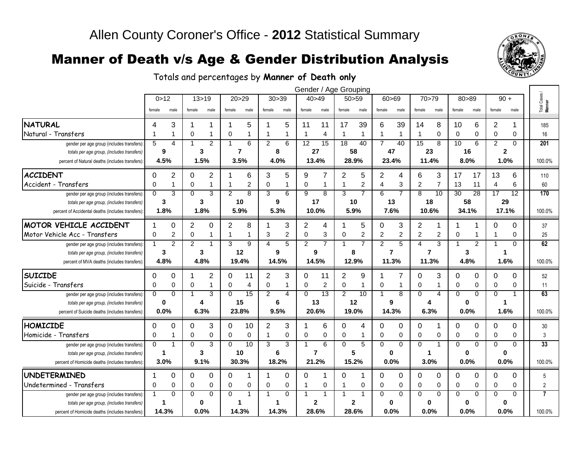#### Manner of Death v/s Age & Gender Distribution Analysis



Totals and percentages by **Manner of Death only**

|  | Gender / Age Grouping |
|--|-----------------------|
|  |                       |

|                                                    | 0 > 12                           | 13 > 19                          | 20 > 29                     | 30 > 39             | 1401 <i>1 1</i> 40<br>40 > 49    | ິ<br>սթուց<br>50 > 59 | 60 > 69              | 70 > 79                    | 80>89                              | $90 +$                             |                         |
|----------------------------------------------------|----------------------------------|----------------------------------|-----------------------------|---------------------|----------------------------------|-----------------------|----------------------|----------------------------|------------------------------------|------------------------------------|-------------------------|
|                                                    | female<br>male                   | female<br>male                   | female<br>male              | female<br>male      | female<br>male                   | female<br>male        | female<br>male       | female<br>male             | female<br>male                     | female<br>male                     | Total Cases /<br>Manner |
|                                                    |                                  |                                  |                             |                     |                                  |                       |                      |                            |                                    |                                    |                         |
| <b>NATURAL</b>                                     | 3<br>4                           | 1                                | 5<br>1                      | 5<br>1              | 11<br>11                         | 39<br>17              | 39<br>6              | 8<br>14                    | 10<br>6                            | 2<br>1                             | 185                     |
| Natural - Transfers                                | 1                                | $\Omega$<br>1                    | 0<br>1                      | 1                   | 4<br>1                           | 1                     | -1                   | 0<br>1                     | $\Omega$<br>0                      | $\Omega$<br>0                      | 16                      |
| gender per age group (includes transfers):         | 5<br>4                           | $\overline{2}$                   | 6                           | 2<br>6              | $\overline{15}$<br>12            | $\overline{18}$<br>40 | 40<br>7              | $\overline{15}$<br>8       | 10<br>6                            | $\overline{2}$<br>0                | 201                     |
| totals per age group, (includes transfers)         | 9                                | 3                                | 7                           | 8                   | 27                               | 58                    | 47                   | 23                         | 16                                 | $\mathbf{2}$                       |                         |
| percent of Natural deaths (includes transfers):    | 4.5%                             | 1.5%                             | 3.5%                        | 4.0%                | 13.4%                            | 28.9%                 | 23.4%                | 11.4%                      | 8.0%                               | 1.0%                               | 100.0%                  |
| ACCIDENT                                           | $\overline{2}$<br>$\Omega$       | $\overline{2}$<br>0              | 6                           | 3<br>5              | $\overline{7}$<br>9              | 5<br>2                | $\overline{c}$<br>4  | 3<br>6                     | 17<br>17                           | 13<br>6                            | 110                     |
| Accident - Transfers                               | 0                                | 0<br>1                           | 2                           | 0                   | $\mathbf{1}$<br>0                | 2                     | 3<br>4               | 7<br>2                     | 13<br>11                           | 6<br>4                             | 60                      |
| gender per age group (includes transfers)          | 3<br>$\mathbf 0$                 | 3<br>$\Omega$                    | 2<br>8                      | 3<br>6              | 8<br>9                           | 3<br>7                | 6<br>7               | 8<br>10                    | $\overline{30}$<br>$\overline{28}$ | $\overline{17}$<br>$\overline{12}$ | 170                     |
| totals per age group, (includes transfers)         | 3                                | 3                                | 10                          | 9                   | 17                               | 10                    | 13                   | 18                         | 58                                 | 29                                 |                         |
| percent of Accidental deaths (includes transfers): | 1.8%                             | 1.8%                             | 5.9%                        | 5.3%                | 10.0%                            | 5.9%                  | 7.6%                 | 10.6%                      | 34.1%                              | 17.1%                              | 100.0%                  |
| MOTOR VEHICLE ACCIDENT                             | 1<br>0                           | $\overline{2}$<br>0              | 2<br>8                      | 3<br>1              | 2<br>4                           | 5                     | 3<br>0               | 2<br>1                     | 1<br>1                             | 0<br>0                             | 37                      |
| Motor Vehicle Acc - Transfers                      | $\overline{2}$<br>0              | $\Omega$<br>1                    | -1                          | $\overline{2}$<br>3 | 3<br>0                           | 2<br>0                | 2<br>$\overline{2}$  | $\overline{c}$<br>2        | 0<br>1                             | 0                                  | 25                      |
| gender per age group (includes transfers):         | $\overline{2}$<br>$\overline{1}$ | $\overline{2}$<br>$\overline{1}$ | 3<br>9                      | 5<br>4              | $\overline{2}$<br>$\overline{7}$ | 7<br>1                | $\overline{2}$<br>5  | 3<br>4                     | 2<br>$\overline{1}$                | 0                                  | 62                      |
| totals per age group, (includes transfers)         | 3                                | 3                                | 12                          | 9                   | 9                                | 8                     | $\overline{7}$       | 7                          | 3                                  | 1                                  |                         |
| percent of MVA deaths (includes transfers)         | 4.8%                             | 4.8%                             | 19.4%                       | 14.5%               | 14.5%                            | 12.9%                 | 11.3%                | 11.3%                      | 4.8%                               | 1.6%                               | 100.0%                  |
| SUICIDE                                            | $\Omega$<br>0                    | $\overline{2}$                   | $\Omega$<br>11              | 2<br>3              | 11<br>0                          | 2<br>9                | $\overline{7}$       | 3<br>$\Omega$              | $\Omega$<br>$\Omega$               | $\Omega$<br>0                      | 52                      |
| Suicide - Transfers                                | $\Omega$<br>0                    | $\Omega$<br>1                    | 0<br>4                      | $\mathbf 0$         | $\overline{c}$<br>0              | 0                     | $\Omega$             | $\overline{1}$<br>0        | $\Omega$<br>$\Omega$               | 0<br>0                             | 11                      |
| gender per age group (includes transfers)          | $\mathbf 0$<br>$\Omega$          | 3                                | $\Omega$<br>$\overline{15}$ | 2<br>4              | $\overline{13}$<br>0             | 2<br>10               | 8                    | 0<br>4                     | $\Omega$<br>$\Omega$               | $\Omega$<br>1                      | 63                      |
| totals per age group, (includes transfers)         | 0                                | 4                                | 15                          | 6                   | 13                               | 12                    | 9                    | 4                          | 0                                  |                                    |                         |
| percent of Suicide deaths (includes transfers).    | 0.0%                             | 6.3%                             | 23.8%                       | 9.5%                | 20.6%                            | 19.0%                 | 14.3%                | 6.3%                       | 0.0%                               | 1.6%                               | 100.0%                  |
| <b>HOMICIDE</b>                                    | 0<br>0                           | 3<br>0                           | 0<br>10                     | 2<br>3              | 6<br>1                           | 4<br>0                | 0<br>0               | 0<br>1                     | $\Omega$<br>0                      | 0<br>0                             | 30                      |
| Homicide - Transfers                               | 0<br>1                           | 0<br>0                           | 0<br>0                      | 1<br>0              | 0<br>0                           | 0                     | $\mathbf 0$<br>0     | 0<br>0                     | 0<br>0                             | 0<br>0                             | 3                       |
| gender per age group (includes transfers)          | $\Omega$<br>1                    | 3<br>$\Omega$                    | $\Omega$<br>10              | 3<br>3              | 6<br>-1                          | 5<br>$\Omega$         | $\Omega$<br>$\Omega$ | $\Omega$                   | $\Omega$<br>$\Omega$               | $\Omega$<br>0                      | 33                      |
| totals per age group, (includes transfers)         | -1                               | 3                                | 10                          | 6                   | 7                                | 5                     | 0                    | 1                          | 0                                  | 0                                  |                         |
| percent of Homicide deaths (includes transfers).   | 3.0%                             | 9.1%                             | 30.3%                       | 18.2%               | 21.2%                            | 15.2%                 | 0.0%                 | 3.0%                       | 0.0%                               | 0.0%                               | 100.0%                  |
| <b>UNDETERMINED</b>                                | 0<br>1                           | 0<br>0                           | 0<br>1                      | 0<br>-1             | 1<br>0                           | 0<br>1                | 0<br>0               | 0<br>0                     | 0<br>0                             | 0<br>0                             | 5                       |
| Undetermined - Transfers                           | 0<br>0                           | $\mathbf 0$<br>0                 | $\Omega$<br>0               | 0<br>$\Omega$       | 0<br>1                           | $\mathbf 0$<br>1      | 0<br>$\Omega$        | 0<br>0                     | $\Omega$<br>0                      | 0<br>0                             | $\overline{2}$          |
| gender per age group (includes transfers)          | $\mathbf{1}$<br>$\Omega$         | $\overline{0}$<br>$\Omega$       | $\Omega$<br>1               | $\overline{0}$<br>1 | $\mathbf{1}$<br>1                | 1<br>1                | $\Omega$<br>$\Omega$ | $\overline{0}$<br>$\Omega$ | $\overline{0}$<br>$\Omega$         | $\Omega$<br>0                      | 7                       |
| totals per age group, (includes transfers)         | 1                                | 0                                | 1                           | 1                   | $\mathbf{2}$                     | $\mathbf{2}$          | 0                    | 0                          | 0                                  | 0                                  |                         |
| percent of Homicide deaths (includes transfers)    | 14.3%                            | 0.0%                             | 14.3%                       | 14.3%               | 28.6%                            | 28.6%                 | 0.0%                 | 0.0%                       | 0.0%                               | 0.0%                               | 100.0%                  |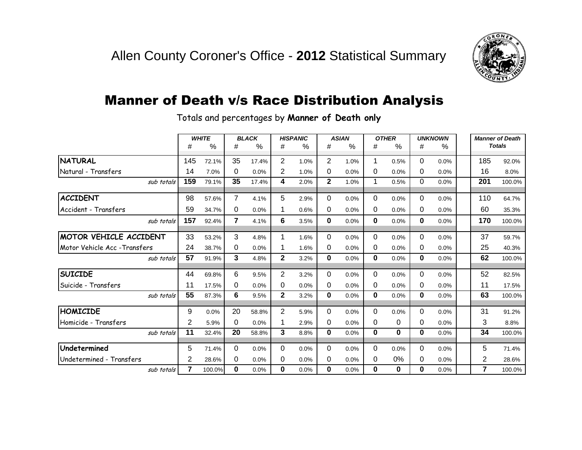

#### Manner of Death v/s Race Distribution Analysis

Totals and percentages by **Manner of Death only**

|                              |     | <b>WHITE</b> |                | <b>BLACK</b> |                | <b>HISPANIC</b> |              | <b>ASIAN</b> |          | <b>OTHER</b> |           | <b>UNKNOWN</b> |     | <b>Manner of Death</b> |
|------------------------------|-----|--------------|----------------|--------------|----------------|-----------------|--------------|--------------|----------|--------------|-----------|----------------|-----|------------------------|
|                              | #   | %            | #              | %            | #              | %               | #            | $\%$         | #        | %            | #         | %              |     | <b>Totals</b>          |
| <b>NATURAL</b>               | 145 | 72.1%        | 35             | 17.4%        | $\overline{2}$ | 1.0%            | 2            | 1.0%         | 1        | 0.5%         | 0         | 0.0%           | 185 | 92.0%                  |
| Natural - Transfers          | 14  | 7.0%         | 0              | 0.0%         | 2              | 1.0%            | 0            | 0.0%         | 0        | 0.0%         | 0         | 0.0%           | 16  | 8.0%                   |
| sub totals                   | 159 | 79.1%        | 35             | 17.4%        | 4              | 2.0%            | $\mathbf{2}$ | 1.0%         | 1        | 0.5%         | 0         | 0.0%           | 201 | 100.0%                 |
| <b>ACCIDENT</b>              | 98  | 57.6%        | $\overline{7}$ | 4.1%         | 5              | 2.9%            | 0            | 0.0%         | $\Omega$ | 0.0%         | 0         | 0.0%           | 110 | 64.7%                  |
| Accident - Transfers         | 59  | 34.7%        | 0              | 0.0%         |                | 0.6%            | 0            | 0.0%         | 0        | 0.0%         | 0         | 0.0%           | 60  | 35.3%                  |
| sub totals                   | 157 | 92.4%        | 7              | 4.1%         | 6              | 3.5%            | 0            | 0.0%         | $\bf{0}$ | 0.0%         | $\pmb{0}$ | 0.0%           | 170 | 100.0%                 |
| MOTOR VEHICLE ACCIDENT       | 33  | 53.2%        | 3              | 4.8%         | 1              | 1.6%            | $\Omega$     | 0.0%         | $\Omega$ | 0.0%         | 0         | 0.0%           | 37  | 59.7%                  |
| Motor Vehicle Acc -Transfers | 24  | 38.7%        | 0              | 0.0%         |                | 1.6%            | $\Omega$     | 0.0%         | 0        | 0.0%         | 0         | 0.0%           | 25  | 40.3%                  |
| sub totals                   | 57  | 91.9%        | $\mathbf{3}$   | 4.8%         | $\mathbf 2$    | 3.2%            | $\bf{0}$     | 0.0%         | $\bf{0}$ | 0.0%         | 0         | 0.0%           | 62  | 100.0%                 |
| <b>SUICIDE</b>               | 44  | 69.8%        | 6              | 9.5%         | 2              | 3.2%            | 0            | 0.0%         | 0        | 0.0%         | 0         | 0.0%           | 52  | 82.5%                  |
| Suicide - Transfers          | 11  | 17.5%        | 0              | 0.0%         | 0              | 0.0%            | 0            | 0.0%         | 0        | 0.0%         | 0         | 0.0%           | 11  | 17.5%                  |
| sub totals                   | 55  | 87.3%        | 6              | 9.5%         | $\mathbf{2}$   | 3.2%            | 0            | 0.0%         | $\bf{0}$ | 0.0%         | 0         | 0.0%           | 63  | 100.0%                 |
| <b>HOMICIDE</b>              | 9   | 0.0%         | 20             | 58.8%        | $\overline{2}$ | 5.9%            | 0            | 0.0%         | $\Omega$ | 0.0%         | 0         | 0.0%           | 31  | 91.2%                  |
| Homicide - Transfers         | 2   | 5.9%         | $\Omega$       | 0.0%         |                | 2.9%            | 0            | 0.0%         | $\Omega$ | 0            | 0         | 0.0%           | 3   | 8.8%                   |
| sub totals                   | 11  | 32.4%        | 20             | 58.8%        | 3              | 8.8%            | $\bf{0}$     | 0.0%         | $\bf{0}$ | 0            | 0         | 0.0%           | 34  | 100.0%                 |
| Undetermined                 | 5   | 71.4%        | 0              | 0.0%         | 0              | 0.0%            | 0            | 0.0%         | $\Omega$ | 0.0%         | 0         | 0.0%           | 5   | 71.4%                  |
| Undetermined - Transfers     | 2   | 28.6%        | 0              | 0.0%         | 0              | 0.0%            | 0            | 0.0%         | 0        | 0%           | 0         | 0.0%           | 2   | 28.6%                  |
| sub totals                   | 7   | 100.0%       | 0              | 0.0%         | 0              | 0.0%            | $\bf{0}$     | 0.0%         | $\bf{0}$ | 0            | 0         | 0.0%           | 7   | 100.0%                 |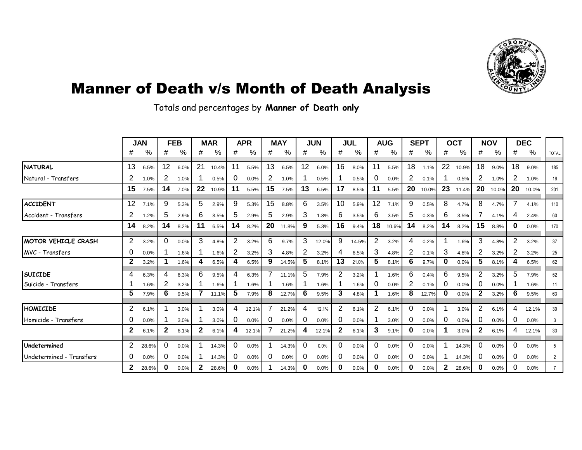

# Manner of Death v/s Month of Death Analysis

Totals and percentages by **Manner of Death only**

|                             |              | <b>JAN</b> |              | <b>FEB</b> |              | <b>MAR</b> |    | <b>APR</b> |                       | <b>MAY</b> |    | <b>JUN</b> |                | <b>JUL</b> |          | <b>AUG</b> |    | <b>SEPT</b> |    | <b>OCT</b> |              | <b>NOV</b> |    | <b>DEC</b> |              |
|-----------------------------|--------------|------------|--------------|------------|--------------|------------|----|------------|-----------------------|------------|----|------------|----------------|------------|----------|------------|----|-------------|----|------------|--------------|------------|----|------------|--------------|
|                             | #            | $\%$       | #            | %          | #            | $\%$       | #  | %          | #                     | $\%$       | #  | $\%$       | #              | $\%$       | #        | %          | #  | $\%$        | #  | %          | #            | %          | #  | %          | <b>TOTAL</b> |
| <b>NATURAL</b>              | 13           | 6.5%       | 12.          | 6.0%       | 21           | 10.4%      | 11 | 5.5%       | 13                    | 6.5%       | 12 | 6.0%       | 16             | 8.0%       | 11       | 5.5%       | 18 | 1.1%        | 22 | 10.9%      | 18           | 9.0%       | 18 | 9.0%       | 185          |
| Natural - Transfers         | 2            | 1.0%       | 2            | 1.0%       |              | 0.5%       | 0  | 0.0%       | $\mathbf{2}^{\prime}$ | 1.0%       |    | 0.5%       |                | 0.5%       | 0        | 0.0%       | 2  | 0.1%        |    | 0.5%       | 2            | 1.0%       | 2  | 1.0%       | 16           |
|                             | 15           | 7.5%       | 14           | 7.0%       | 22           | 10.9%      | 11 | 5.5%       | 15                    | 7.5%       | 13 | 6.5%       | 17             | 8.5%       | 11       | 5.5%       | 20 | 10.0%       | 23 | 11.4%      | 20           | 10.0%      | 20 | 10.0%      | 201          |
| <b>ACCIDENT</b>             | 12           | 7.1%       | 9            | 5.3%       | 5            | 2.9%       | 9  | 5.3%       | 15                    | 8.8%       | 6  | 3.5%       | 10             | 5.9%       | 12       | 7.1%       | 9  | 0.5%        | 8  | 4.7%       | 8            | 4.7%       |    | 4.1%       | 110          |
| Accident - Transfers        | 2            | 1.2%       | 5            | 2.9%       | 6            | 3.5%       | 5  | 2.9%       | 5                     | 2.9%       | 3  | 1.8%       | 6              | 3.5%       | 6        | 3.5%       | 5  | 0.3%        | 6  | 3.5%       | 7            | 4.1%       | 4  | 2.4%       | 60           |
|                             | 14           | 8.2%       | 14           | 8.2%       | 11           | 6.5%       | 14 | 8.2%       | 20                    | 11.8%      | 9  | 5.3%       | 16             | 9.4%       | 18       | 10.6%      | 14 | 8.2%        | 14 | 8.2%       | 15           | 8.8%       | 0  | 0.0%       | 170          |
| <b>IMOTOR VEHICLE CRASH</b> | 2            | 3.2%       | 0            | 0.0%       | 3            | 4.8%       | 2  | 3.2%       | 6                     | 9.7%       | 3  | 12.0%      | 9              | 14.5%      | 2        | 3.2%       | 4  | 0.2%        |    | 1.6%       | 3            | 4.8%       | 2  | 3.2%       | 37           |
| MVC - Transfers             | 0            | 0.0%       |              | 1.6%       |              | 1.6%       | 2  | 3.2%       | 3                     | 4.8%       | 2  | 3.2%       | 4              | 6.5%       | 3        | 4.8%       | 2  | 0.1%        | 3  | 4.8%       | 2            | 3.2%       | 2  | 3.2%       | 25           |
|                             | $\mathbf{2}$ | 3.2%       |              | 1.6%       | 4            | 6.5%       | 4  | 6.5%       | 9                     | 14.5%      | 5  | 8.1%       | 13             | 21.0%      | 5        | 8.1%       | 6  | 9.7%        | 0  | 0.0%       | 5            | 8.1%       | 4  | 6.5%       | 62           |
| <b>SUICIDE</b>              | 4            | 6.3%       | 4            | 6.3%       | 6            | 9.5%       | 4  | 6.3%       |                       | 11.1%      | 5  | 7.9%       | 2              | 3.2%       |          | 1.6%       | 6  | 0.4%        | 6  | 9.5%       | 2            | 3.2%       | 5  | 7.9%       | 52           |
| Suicide - Transfers         |              | 1.6%       | 2            | 3.2%       |              | 1.6%       |    | 1.6%       |                       | 1.6%       |    | 1.6%       |                | 1.6%       | 0        | 0.0%       |    | 0.1%        | 0  | 0.0%       | 0            | 0.0%       |    | 1.6%       | 11           |
|                             | 5            | 7.9%       | 6            | 9.5%       |              | 11.1%      | 5  | 7.9%       | 8                     | 12.7%      | 6  | 9.5%       | 3              | 4.8%       |          | 1.6%       | 8  | 12.7%       | 0  | 0.0%       | $\mathbf{2}$ | 3.2%       | 6  | 9.5%       | 63           |
| <b>HOMICIDE</b>             | 2            | 6.1%       |              | 3.0%       |              | 3.0%       | 4  | 12.1%      | $\overline{7}$        | 21.2%      | 4  | 12.1%      | $\overline{2}$ | 6.1%       | 2        | 6.1%       | 0  | 0.0%        | 1  | 3.0%       | 2            | 6.1%       | 4  | 12.1%      | 30           |
| Homicide - Transfers        | 0            | 0.0%       |              | 3.0%       |              | 3.0%       | 0  | 0.0%       | 0                     | 0.0%       | 0  | 0.0%       | 0              | 0.0%       |          | 3.0%       | 0  | 0.0%        | 0  | 0.0%       | 0            | 0.0%       | 0  | 0.0%       | 3            |
|                             | $\mathbf{2}$ | 6.1%       | $\mathbf{2}$ | 6.1%       |              | 6.1%       | 4  | 12.1%      |                       | 21.2%      | 4  | 12.1%      | $\mathbf{2}$   | 6.1%       | 3        | 9.1%       | 0  | 0.0%        |    | 3.0%       | $\mathbf{2}$ | 6.1%       | 4  | 12.1%      | 33           |
| Undetermined                | 2            | 28.6%      | 0            | 0.0%       |              | 14.3%      | 0  | 0.0%       |                       | 14.3%      | 0  | 0.0%       | 0              | 0.0%       | $\Omega$ | 0.0%       | 0  | 0.0%        |    | 14.3%      | 0            | 0.0%       | 0  | 0.0%       | 5            |
| Undetermined - Transfers    | 0            | 0.0%       | 0            | 0.0%       |              | 14.3%      | 0  | 0.0%       | 0                     | 0.0%       | 0  | 0.0%       | 0              | 0.0%       | 0        | 0.0%       | 0  | 0.0%        |    | 14.3%      | 0            | 0.0%       | 0  | 0.0%       | 2            |
|                             | $\mathbf{2}$ | 28.6%      | 0            | 0.0%       | $\mathbf{2}$ | 28.6%      | 0  | 0.0%       |                       | 14.3%      | 0  | 0.0%       | 0              | 0.0%       | 0        | 0.0%       | 0  | 0.0%        | 2  | 28.6%      | 0            | 0.0%       | 0  | 0.0%       |              |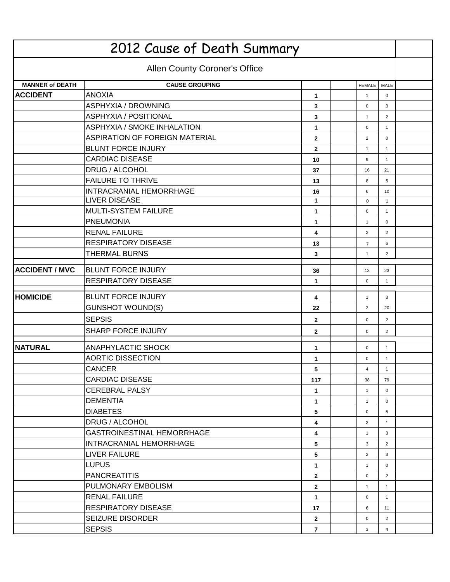| 2012 Cause of Death Summary |                                       |                         |  |                |                |  |  |  |  |  |  |  |  |
|-----------------------------|---------------------------------------|-------------------------|--|----------------|----------------|--|--|--|--|--|--|--|--|
|                             | Allen County Coroner's Office         |                         |  |                |                |  |  |  |  |  |  |  |  |
| <b>MANNER of DEATH</b>      | <b>CAUSE GROUPING</b>                 |                         |  | <b>FEMALE</b>  | MALE           |  |  |  |  |  |  |  |  |
| <b>ACCIDENT</b>             | <b>ANOXIA</b>                         | $\mathbf{1}$            |  | $\mathbf{1}$   | $\mathbf 0$    |  |  |  |  |  |  |  |  |
|                             | <b>ASPHYXIA / DROWNING</b>            | 3                       |  | 0              | 3              |  |  |  |  |  |  |  |  |
|                             | <b>ASPHYXIA / POSITIONAL</b>          | 3                       |  | $\mathbf{1}$   | $\overline{2}$ |  |  |  |  |  |  |  |  |
|                             | <b>ASPHYXIA / SMOKE INHALATION</b>    | 1                       |  | $\pmb{0}$      | $\mathbf{1}$   |  |  |  |  |  |  |  |  |
|                             | <b>ASPIRATION OF FOREIGN MATERIAL</b> | $\mathbf{2}$            |  | $\overline{2}$ | $\mathbf 0$    |  |  |  |  |  |  |  |  |
|                             | <b>BLUNT FORCE INJURY</b>             | $\mathbf{2}$            |  | $\mathbf{1}$   | $\mathbf{1}$   |  |  |  |  |  |  |  |  |
|                             | <b>CARDIAC DISEASE</b>                | 10                      |  | 9              | $\overline{1}$ |  |  |  |  |  |  |  |  |
|                             | DRUG / ALCOHOL                        | 37                      |  | 16             | 21             |  |  |  |  |  |  |  |  |
|                             | <b>FAILURE TO THRIVE</b>              | 13                      |  | 8              | 5              |  |  |  |  |  |  |  |  |
|                             | INTRACRANIAL HEMORRHAGE               | 16                      |  | 6              | 10             |  |  |  |  |  |  |  |  |
|                             | <b>LIVER DISEASE</b>                  | 1                       |  | $\mathbf 0$    | $\mathbf{1}$   |  |  |  |  |  |  |  |  |
|                             | <b>MULTI-SYSTEM FAILURE</b>           | $\mathbf{1}$            |  | $\pmb{0}$      | $\mathbf{1}$   |  |  |  |  |  |  |  |  |
|                             | <b>PNEUMONIA</b>                      | 1                       |  | $\mathbf{1}$   | $\mathbf 0$    |  |  |  |  |  |  |  |  |
|                             | <b>RENAL FAILURE</b>                  | 4                       |  | $\overline{2}$ | $\overline{2}$ |  |  |  |  |  |  |  |  |
|                             | <b>RESPIRATORY DISEASE</b>            | 13                      |  | $\overline{7}$ | 6              |  |  |  |  |  |  |  |  |
|                             | <b>THERMAL BURNS</b>                  | 3                       |  | $\mathbf{1}$   | $\overline{2}$ |  |  |  |  |  |  |  |  |
| <b>ACCIDENT / MVC</b>       | <b>BLUNT FORCE INJURY</b>             | 36                      |  | 13             | 23             |  |  |  |  |  |  |  |  |
|                             | <b>RESPIRATORY DISEASE</b>            | 1                       |  | $\mathbf 0$    | $\mathbf{1}$   |  |  |  |  |  |  |  |  |
| <b>HOMICIDE</b>             | <b>BLUNT FORCE INJURY</b>             | $\overline{\mathbf{4}}$ |  | $\mathbf{1}$   | 3              |  |  |  |  |  |  |  |  |
|                             | <b>GUNSHOT WOUND(S)</b>               | 22                      |  | $\overline{2}$ | 20             |  |  |  |  |  |  |  |  |
|                             | <b>SEPSIS</b>                         | $\mathbf{2}$            |  | $\mathbf 0$    | $\overline{2}$ |  |  |  |  |  |  |  |  |
|                             | SHARP FORCE INJURY                    |                         |  | $\mathbf 0$    | $\overline{2}$ |  |  |  |  |  |  |  |  |
|                             |                                       | $\mathbf{2}$            |  |                |                |  |  |  |  |  |  |  |  |
| <b>NATURAL</b>              | ANAPHYLACTIC SHOCK                    | 1                       |  | 0              | $\mathbf{1}$   |  |  |  |  |  |  |  |  |
|                             | <b>AORTIC DISSECTION</b>              | 1                       |  | 0              | $\mathbf{1}$   |  |  |  |  |  |  |  |  |
|                             | CANCER                                | 5                       |  | 4              | $\mathbf{1}$   |  |  |  |  |  |  |  |  |
|                             | CARDIAC DISEASE                       | 117                     |  | 38             | 79             |  |  |  |  |  |  |  |  |
|                             | <b>CEREBRAL PALSY</b>                 | 1                       |  | $\mathbf{1}$   | $\mathbf{0}$   |  |  |  |  |  |  |  |  |
|                             | <b>DEMENTIA</b>                       | $\mathbf{1}$            |  | $\mathbf{1}$   | $\mathbf 0$    |  |  |  |  |  |  |  |  |
|                             | <b>DIABETES</b>                       | 5                       |  | $\mathbf 0$    | 5              |  |  |  |  |  |  |  |  |
|                             | DRUG / ALCOHOL                        | 4                       |  | 3              | $\mathbf{1}$   |  |  |  |  |  |  |  |  |
|                             | GASTROINESTINAL HEMORRHAGE            | 4                       |  | 1              | 3              |  |  |  |  |  |  |  |  |
|                             | <b>INTRACRANIAL HEMORRHAGE</b>        | 5                       |  | 3              | $\overline{2}$ |  |  |  |  |  |  |  |  |
|                             | <b>LIVER FAILURE</b>                  | $5\phantom{.0}$         |  | $\overline{2}$ | 3              |  |  |  |  |  |  |  |  |
|                             | <b>LUPUS</b>                          | $\mathbf{1}$            |  | $\mathbf{1}$   | $\mathbf 0$    |  |  |  |  |  |  |  |  |
|                             | <b>PANCREATITIS</b>                   | $\mathbf{2}$            |  | 0              | $\overline{2}$ |  |  |  |  |  |  |  |  |
|                             | PULMONARY EMBOLISM                    | $\mathbf{2}$            |  | $\mathbf{1}$   | 1              |  |  |  |  |  |  |  |  |
|                             | <b>RENAL FAILURE</b>                  | 1                       |  | $\mathbf 0$    | $\mathbf{1}$   |  |  |  |  |  |  |  |  |
|                             | <b>RESPIRATORY DISEASE</b>            | 17                      |  | 6              | 11             |  |  |  |  |  |  |  |  |
|                             | <b>SEIZURE DISORDER</b>               | $\mathbf{2}$            |  | $\mathbf{0}$   | $\overline{2}$ |  |  |  |  |  |  |  |  |
|                             |                                       |                         |  |                |                |  |  |  |  |  |  |  |  |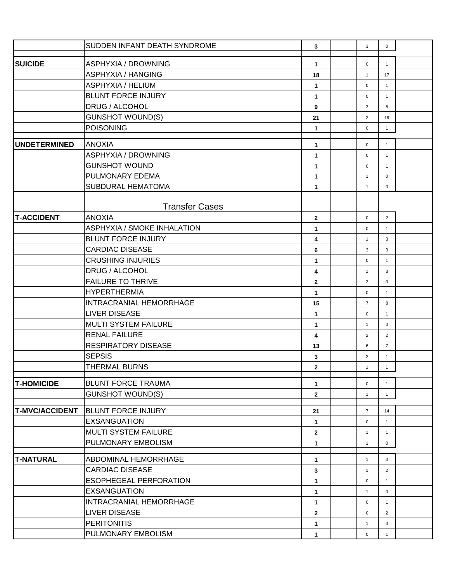|                       | SUDDEN INFANT DEATH SYNDROME       | $\mathbf{3}$       | $\mathsf 3$    | $\mathsf 0$    |  |
|-----------------------|------------------------------------|--------------------|----------------|----------------|--|
| <b>SUICIDE</b>        | <b>ASPHYXIA / DROWNING</b>         |                    | $\mathbf 0$    | $\overline{1}$ |  |
|                       | <b>ASPHYXIA / HANGING</b>          | $\mathbf{1}$<br>18 | $\mathbf{1}$   | 17             |  |
|                       | <b>ASPHYXIA / HELIUM</b>           | 1                  | $\mathsf 0$    | $\mathbf{1}$   |  |
|                       | <b>BLUNT FORCE INJURY</b>          |                    |                |                |  |
|                       | DRUG / ALCOHOL                     | 1                  | 0              | $\mathbf{1}$   |  |
|                       |                                    | 9                  | 3              | 6              |  |
|                       | <b>GUNSHOT WOUND(S)</b>            | 21                 | $\overline{2}$ | 19             |  |
|                       | <b>POISONING</b>                   | 1                  | 0              | $\overline{1}$ |  |
| <b>UNDETERMINED</b>   | <b>ANOXIA</b>                      | $\mathbf{1}$       | 0              | $\mathbf{1}$   |  |
|                       | ASPHYXIA / DROWNING                | 1                  | $\mathsf 0$    | $\mathbf{1}$   |  |
|                       | <b>GUNSHOT WOUND</b>               | $\mathbf{1}$       | $\mathbf 0$    | $\mathbf{1}$   |  |
|                       | PULMONARY EDEMA                    | $\mathbf{1}$       | $\mathbf{1}$   | $\mathbf 0$    |  |
|                       | SUBDURAL HEMATOMA                  | 1                  | $\mathbf{1}$   | $\mathsf 0$    |  |
|                       |                                    |                    |                |                |  |
|                       | <b>Transfer Cases</b>              |                    |                |                |  |
| <b>T-ACCIDENT</b>     | <b>ANOXIA</b>                      | $\overline{2}$     | $\mathsf 0$    | 2              |  |
|                       | <b>ASPHYXIA / SMOKE INHALATION</b> | 1                  | 0              | $\mathbf{1}$   |  |
|                       | <b>BLUNT FORCE INJURY</b>          | 4                  | $\mathbf{1}$   | 3              |  |
|                       | <b>CARDIAC DISEASE</b>             | 6                  | 3              | 3              |  |
|                       | <b>CRUSHING INJURIES</b>           | 1                  | $\mathsf 0$    | $\mathbf{1}$   |  |
|                       | DRUG / ALCOHOL                     | 4                  | $\mathbf{1}$   | 3              |  |
|                       | <b>FAILURE TO THRIVE</b>           | $\mathbf{2}$       | $\overline{2}$ | $\mathbf 0$    |  |
|                       | <b>HYPERTHERMIA</b>                | 1                  | $\mathsf 0$    | $\mathbf{1}$   |  |
|                       | INTRACRANIAL HEMORRHAGE            | 15                 | $\overline{7}$ | 8              |  |
|                       | <b>LIVER DISEASE</b>               | 1                  | $\mathbf 0$    | $\mathbf{1}$   |  |
|                       | <b>MULTI SYSTEM FAILURE</b>        | 1                  | $\mathbf{1}$   | $\mathbf{0}$   |  |
|                       | <b>RENAL FAILURE</b>               | 4                  | $\overline{2}$ | 2              |  |
|                       | <b>RESPIRATORY DISEASE</b>         | 13                 | 6              | $\overline{7}$ |  |
|                       | <b>SEPSIS</b>                      | 3                  | $\overline{2}$ | $\mathbf{1}$   |  |
|                       | THERMAL BURNS                      | $\mathbf 2$        | $\mathbf{1}$   | $\mathbf{1}$   |  |
|                       |                                    |                    |                |                |  |
| <b>T-HOMICIDE</b>     | <b>BLUNT FORCE TRAUMA</b>          | $\mathbf{1}$       | $\mathbf 0$    | $\overline{1}$ |  |
|                       | <b>GUNSHOT WOUND(S)</b>            | $\mathbf{2}$       | $\mathbf{1}$   | $\overline{1}$ |  |
| <b>T-MVC/ACCIDENT</b> | <b>BLUNT FORCE INJURY</b>          | 21                 | $\overline{7}$ | 14             |  |
|                       | <b>EXSANGUATION</b>                | $\mathbf{1}$       | $\mathbf 0$    | $\mathbf{1}$   |  |
|                       | <b>MULTI SYSTEM FAILURE</b>        | $\mathbf{2}$       | $\mathbf{1}$   | $\overline{1}$ |  |
|                       | PULMONARY EMBOLISM                 | $\mathbf{1}$       | $\mathbf{1}$   | $\mathsf 0$    |  |
|                       |                                    |                    |                |                |  |
| <b>T-NATURAL</b>      | ABDOMINAL HEMORRHAGE               | 1                  | $\mathbf{1}$   | $\mathbf 0$    |  |
|                       | <b>CARDIAC DISEASE</b>             | 3                  | $\mathbf{1}$   | $\overline{2}$ |  |
|                       | <b>ESOPHEGEAL PERFORATION</b>      | 1                  | $\mathbf 0$    | $\overline{1}$ |  |
|                       | <b>EXSANGUATION</b>                | $\mathbf{1}$       | 1              | $\mathsf 0$    |  |
|                       | INTRACRANIAL HEMORRHAGE            | $\mathbf{1}$       | $\mathsf{O}$   | $\overline{1}$ |  |
|                       | <b>LIVER DISEASE</b>               | $\mathbf{2}$       | 0              | $\overline{2}$ |  |
|                       | <b>PERITONITIS</b>                 | 1                  | $\mathbf{1}$   | $\mathbf 0$    |  |
|                       | PULMONARY EMBOLISM                 | 1                  | 0              | $\mathbf{1}$   |  |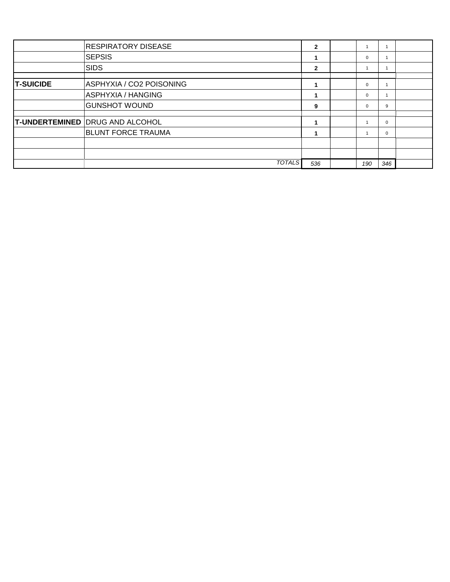|                  | <b>RESPIRATORY DISEASE</b>      | $\mathbf{2}$ |             |             |  |
|------------------|---------------------------------|--------------|-------------|-------------|--|
|                  | <b>SEPSIS</b>                   |              | 0           |             |  |
|                  | <b>SIDS</b>                     | 2            |             |             |  |
|                  |                                 |              |             |             |  |
| <b>T-SUICIDE</b> | ASPHYXIA / CO2 POISONING        |              | $\mathbf 0$ |             |  |
|                  | <b>ASPHYXIA / HANGING</b>       |              | 0           |             |  |
|                  | <b>GUNSHOT WOUND</b>            | 9            | $\Omega$    | 9           |  |
|                  |                                 |              |             |             |  |
|                  | T-UNDERTEMINED DRUG AND ALCOHOL |              |             | $\mathbf 0$ |  |
|                  | <b>BLUNT FORCE TRAUMA</b>       |              |             | $\mathbf 0$ |  |
|                  |                                 |              |             |             |  |
|                  |                                 |              |             |             |  |
|                  | <b>TOTALS</b>                   | 536          | 190         | 346         |  |